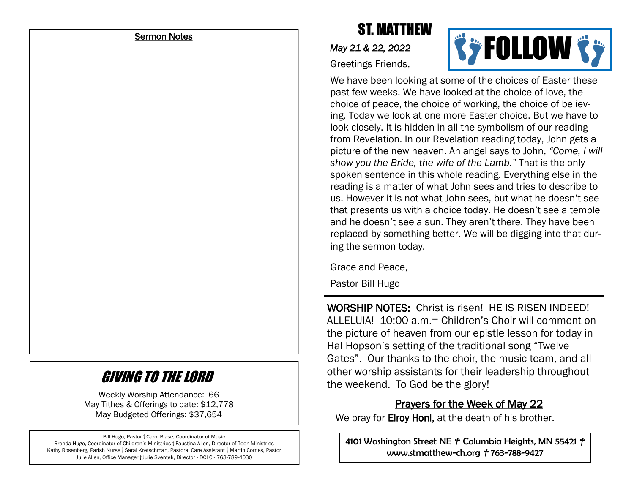#### Sermon Notes

# ST. MATTHEW

*May 21 & 22, 2022* 





We have been looking at some of the choices of Easter these past few weeks. We have looked at the choice of love, the choice of peace, the choice of working, the choice of believing. Today we look at one more Easter choice. But we have to look closely. It is hidden in all the symbolism of our reading from Revelation. In our Revelation reading today, John gets a picture of the new heaven. An angel says to John, *"Come, I will show you the Bride, the wife of the Lamb."* That is the only spoken sentence in this whole reading. Everything else in the reading is a matter of what John sees and tries to describe to us. However it is not what John sees, but what he doesn't see that presents us with a choice today. He doesn't see a temple and he doesn't see a sun. They aren't there. They have been replaced by something better. We will be digging into that during the sermon today.

Grace and Peace,

Pastor Bill Hugo

WORSHIP NOTES: Christ is risen! HE IS RISEN INDEED! ALLELUIA! 10:00 a.m.= Children's Choir will comment on the picture of heaven from our epistle lesson for today in Hal Hopson's setting of the traditional song "Twelve Gates". Our thanks to the choir, the music team, and all other worship assistants for their leadership throughout the weekend. To God be the glory!

#### Prayers for the Week of May 22

We pray for **Elroy Honl**, at the death of his brother.

4101 Washington Street NE **†** Columbia Heights, MN 55421 **†** www.stmatthew-ch.org **†** 763-788-9427

# GIVING TO THE LORD

Weekly Worship Attendance: 66 May Tithes & Offerings to date: \$12,778 May Budgeted Offerings: \$37,654

Bill Hugo, Pastor **†** Carol Blase, Coordinator of Music Brenda Hugo, Coordinator of Children's Ministries **†** Faustina Allen, Director of Teen Ministries Kathy Rosenberg, Parish Nurse **†** Sarai Kretschman, Pastoral Care Assistant **†** Martin Cornes, Pastor Julie Allen, Office Manager **†** Julie Sventek, Director - DCLC - 763-789-4030